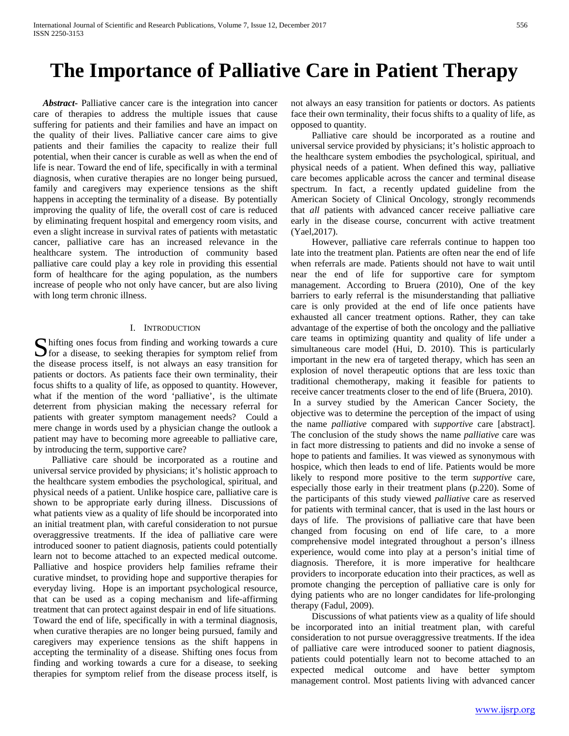## **The Importance of Palliative Care in Patient Therapy**

 *Abstract***-** Palliative cancer care is the integration into cancer care of therapies to address the multiple issues that cause suffering for patients and their families and have an impact on the quality of their lives. Palliative cancer care aims to give patients and their families the capacity to realize their full potential, when their cancer is curable as well as when the end of life is near. Toward the end of life, specifically in with a terminal diagnosis, when curative therapies are no longer being pursued, family and caregivers may experience tensions as the shift happens in accepting the terminality of a disease. By potentially improving the quality of life, the overall cost of care is reduced by eliminating frequent hospital and emergency room visits, and even a slight increase in survival rates of patients with metastatic cancer, palliative care has an increased relevance in the healthcare system. The introduction of community based palliative care could play a key role in providing this essential form of healthcare for the aging population, as the numbers increase of people who not only have cancer, but are also living with long term chronic illness.

## I. INTRODUCTION

hifting ones focus from finding and working towards a cure S hifting ones focus from finding and working towards a cure<br>for a disease, to seeking therapies for symptom relief from the disease process itself, is not always an easy transition for patients or doctors. As patients face their own terminality, their focus shifts to a quality of life, as opposed to quantity. However, what if the mention of the word 'palliative', is the ultimate deterrent from physician making the necessary referral for patients with greater symptom management needs? Could a mere change in words used by a physician change the outlook a patient may have to becoming more agreeable to palliative care, by introducing the term, supportive care?

 Palliative care should be incorporated as a routine and universal service provided by physicians; it's holistic approach to the healthcare system embodies the psychological, spiritual, and physical needs of a patient. Unlike hospice care, palliative care is shown to be appropriate early during illness. Discussions of what patients view as a quality of life should be incorporated into an initial treatment plan, with careful consideration to not pursue overaggressive treatments. If the idea of palliative care were introduced sooner to patient diagnosis, patients could potentially learn not to become attached to an expected medical outcome. Palliative and hospice providers help families reframe their curative mindset, to providing hope and supportive therapies for everyday living. Hope is an important psychological resource, that can be used as a coping mechanism and life-affirming treatment that can protect against despair in end of life situations. Toward the end of life, specifically in with a terminal diagnosis, when curative therapies are no longer being pursued, family and caregivers may experience tensions as the shift happens in accepting the terminality of a disease. Shifting ones focus from finding and working towards a cure for a disease, to seeking therapies for symptom relief from the disease process itself, is not always an easy transition for patients or doctors. As patients face their own terminality, their focus shifts to a quality of life, as opposed to quantity.

 Palliative care should be incorporated as a routine and universal service provided by physicians; it's holistic approach to the healthcare system embodies the psychological, spiritual, and physical needs of a patient. When defined this way, palliative care becomes applicable across the cancer and terminal disease spectrum. In fact, a recently updated guideline from the American Society of Clinical Oncology, strongly recommends that *all* patients with advanced cancer receive palliative care early in the disease course, concurrent with active treatment (Yael,2017).

 However, palliative care referrals continue to happen too late into the treatment plan. Patients are often near the end of life when referrals are made. Patients should not have to wait until near the end of life for supportive care for symptom management. According to Bruera (2010), One of the key barriers to early referral is the misunderstanding that palliative care is only provided at the end of life once patients have exhausted all cancer treatment options. Rather, they can take advantage of the expertise of both the oncology and the palliative care teams in optimizing quantity and quality of life under a simultaneous care model (Hui, D. 2010). This is particularly important in the new era of targeted therapy, which has seen an explosion of novel therapeutic options that are less toxic than traditional chemotherapy, making it feasible for patients to receive cancer treatments closer to the end of life (Bruera, 2010). In a survey studied by the American Cancer Society, the objective was to determine the perception of the impact of using the name *palliative* compared with *supportive* care [abstract]. The conclusion of the study shows the name *palliative* care was in fact more distressing to patients and did no invoke a sense of hope to patients and families. It was viewed as synonymous with hospice, which then leads to end of life. Patients would be more likely to respond more positive to the term *supportive* care, especially those early in their treatment plans (p.220). Some of the participants of this study viewed *palliative* care as reserved for patients with terminal cancer, that is used in the last hours or days of life. The provisions of palliative care that have been changed from focusing on end of life care, to a more comprehensive model integrated throughout a person's illness experience, would come into play at a person's initial time of diagnosis. Therefore, it is more imperative for healthcare providers to incorporate education into their practices, as well as promote changing the perception of palliative care is only for dying patients who are no longer candidates for life-prolonging therapy (Fadul, 2009).

 Discussions of what patients view as a quality of life should be incorporated into an initial treatment plan, with careful consideration to not pursue overaggressive treatments. If the idea of palliative care were introduced sooner to patient diagnosis, patients could potentially learn not to become attached to an expected medical outcome and have better symptom management control. Most patients living with advanced cancer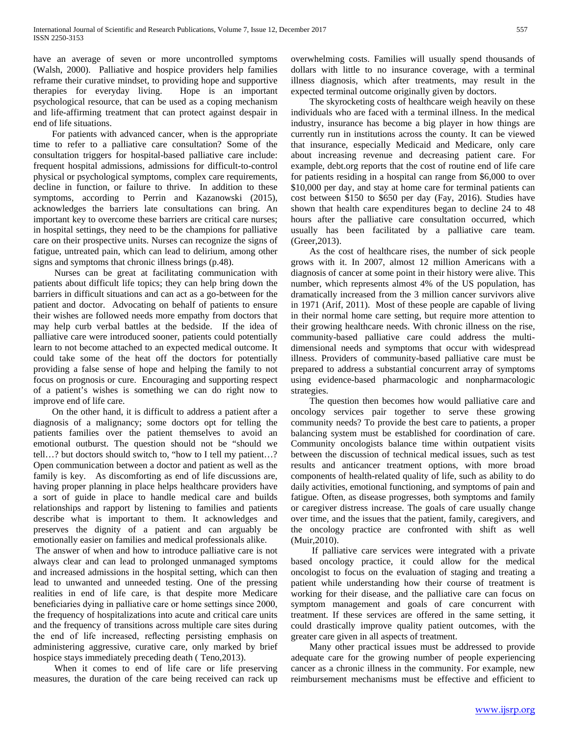have an average of seven or more uncontrolled symptoms (Walsh, 2000). Palliative and hospice providers help families reframe their curative mindset, to providing hope and supportive therapies for everyday living. Hope is an important psychological resource, that can be used as a coping mechanism and life-affirming treatment that can protect against despair in end of life situations.

 For patients with advanced cancer, when is the appropriate time to refer to a palliative care consultation? Some of the consultation triggers for hospital-based palliative care include: frequent hospital admissions, admissions for difficult-to-control physical or psychological symptoms, complex care requirements, decline in function, or failure to thrive. In addition to these symptoms, according to Perrin and Kazanowski (2015), acknowledges the barriers late consultations can bring. An important key to overcome these barriers are critical care nurses; in hospital settings, they need to be the champions for palliative care on their prospective units. Nurses can recognize the signs of fatigue, untreated pain, which can lead to delirium, among other signs and symptoms that chronic illness brings (p.48).

 Nurses can be great at facilitating communication with patients about difficult life topics; they can help bring down the barriers in difficult situations and can act as a go-between for the patient and doctor. Advocating on behalf of patients to ensure their wishes are followed needs more empathy from doctors that may help curb verbal battles at the bedside. If the idea of palliative care were introduced sooner, patients could potentially learn to not become attached to an expected medical outcome. It could take some of the heat off the doctors for potentially providing a false sense of hope and helping the family to not focus on prognosis or cure. Encouraging and supporting respect of a patient's wishes is something we can do right now to improve end of life care.

 On the other hand, it is difficult to address a patient after a diagnosis of a malignancy; some doctors opt for telling the patients families over the patient themselves to avoid an emotional outburst. The question should not be "should we tell…? but doctors should switch to, "how to I tell my patient…? Open communication between a doctor and patient as well as the family is key. As discomforting as end of life discussions are, having proper planning in place helps healthcare providers have a sort of guide in place to handle medical care and builds relationships and rapport by listening to families and patients describe what is important to them. It acknowledges and preserves the dignity of a patient and can arguably be emotionally easier on families and medical professionals alike.

The answer of when and how to introduce palliative care is not always clear and can lead to prolonged unmanaged symptoms and increased admissions in the hospital setting, which can then lead to unwanted and unneeded testing. One of the pressing realities in end of life care, is that despite more Medicare beneficiaries dying in palliative care or home settings since 2000, the frequency of hospitalizations into acute and critical care units and the frequency of transitions across multiple care sites during the end of life increased, reflecting persisting emphasis on administering aggressive, curative care, only marked by brief hospice stays immediately preceding death ( Teno,2013).

 When it comes to end of life care or life preserving measures, the duration of the care being received can rack up

overwhelming costs. Families will usually spend thousands of dollars with little to no insurance coverage, with a terminal illness diagnosis, which after treatments, may result in the expected terminal outcome originally given by doctors.

 The skyrocketing costs of healthcare weigh heavily on these individuals who are faced with a terminal illness. In the medical industry, insurance has become a big player in how things are currently run in institutions across the county. It can be viewed that insurance, especially Medicaid and Medicare, only care about increasing revenue and decreasing patient care. For example, debt.org reports that the cost of routine end of life care for patients residing in a hospital can range from \$6,000 to over \$10,000 per day, and stay at home care for terminal patients can cost between \$150 to \$650 per day (Fay, 2016). Studies have shown that health care expenditures began to decline 24 to 48 hours after the palliative care consultation occurred, which usually has been facilitated by a palliative care team. (Greer,2013).

 As the cost of healthcare rises, the number of sick people grows with it. In 2007, almost 12 million Americans with a diagnosis of cancer at some point in their history were alive. This number, which represents almost 4% of the US population, has dramatically increased from the 3 million cancer survivors alive in 1971 (Arif, 2011). Most of these people are capable of living in their normal home care setting, but require more attention to their growing healthcare needs. With chronic illness on the rise, community-based palliative care could address the multidimensional needs and symptoms that occur with widespread illness. Providers of community-based palliative care must be prepared to address a substantial concurrent array of symptoms using evidence-based pharmacologic and nonpharmacologic strategies.

 The question then becomes how would palliative care and oncology services pair together to serve these growing community needs? To provide the best care to patients, a proper balancing system must be established for coordination of care. Community oncologists balance time within outpatient visits between the discussion of technical medical issues, such as test results and anticancer treatment options, with more broad components of health-related quality of life, such as ability to do daily activities, emotional functioning, and symptoms of pain and fatigue. Often, as disease progresses, both symptoms and family or caregiver distress increase. The goals of care usually change over time, and the issues that the patient, family, caregivers, and the oncology practice are confronted with shift as well (Muir,2010).

 If palliative care services were integrated with a private based oncology practice, it could allow for the medical oncologist to focus on the evaluation of staging and treating a patient while understanding how their course of treatment is working for their disease, and the palliative care can focus on symptom management and goals of care concurrent with treatment. If these services are offered in the same setting, it could drastically improve quality patient outcomes, with the greater care given in all aspects of treatment.

 Many other practical issues must be addressed to provide adequate care for the growing number of people experiencing cancer as a chronic illness in the community. For example, new reimbursement mechanisms must be effective and efficient to